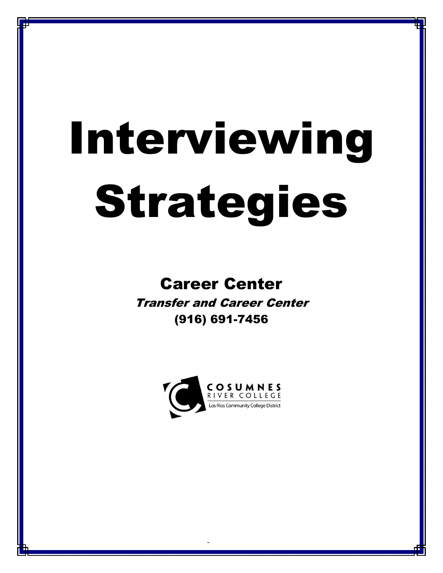# Interviewing Strategies

# Career Center

Transfer and Career Center (916) 691-7456

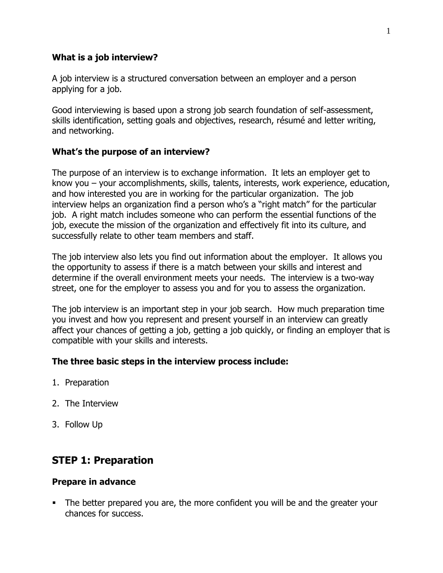#### **What is a job interview?**

A job interview is a structured conversation between an employer and a person applying for a job.

Good interviewing is based upon a strong job search foundation of self-assessment, skills identification, setting goals and objectives, research, résumé and letter writing, and networking.

#### **What's the purpose of an interview?**

The purpose of an interview is to exchange information. It lets an employer get to know you – your accomplishments, skills, talents, interests, work experience, education, and how interested you are in working for the particular organization. The job interview helps an organization find a person who's a "right match" for the particular job. A right match includes someone who can perform the essential functions of the job, execute the mission of the organization and effectively fit into its culture, and successfully relate to other team members and staff.

The job interview also lets you find out information about the employer. It allows you the opportunity to assess if there is a match between your skills and interest and determine if the overall environment meets your needs. The interview is a two-way street, one for the employer to assess you and for you to assess the organization.

The job interview is an important step in your job search. How much preparation time you invest and how you represent and present yourself in an interview can greatly affect your chances of getting a job, getting a job quickly, or finding an employer that is compatible with your skills and interests.

# **The three basic steps in the interview process include:**

- 1. Preparation
- 2. The Interview
- 3. Follow Up

# **STEP 1: Preparation**

#### **Prepare in advance**

 The better prepared you are, the more confident you will be and the greater your chances for success.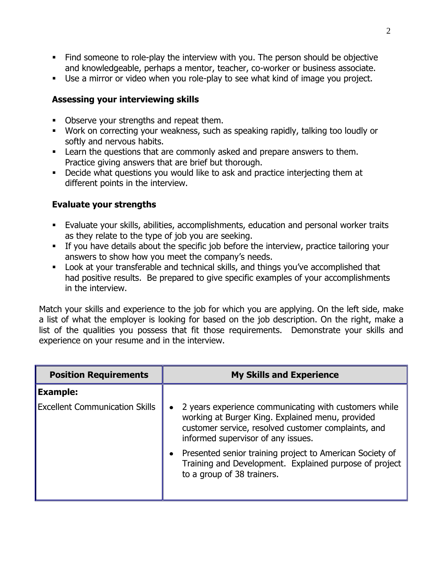- Find someone to role-play the interview with you. The person should be objective and knowledgeable, perhaps a mentor, teacher, co-worker or business associate.
- Use a mirror or video when you role-play to see what kind of image you project.

# **Assessing your interviewing skills**

- Observe your strengths and repeat them.
- Work on correcting your weakness, such as speaking rapidly, talking too loudly or softly and nervous habits.
- **EXECT** Learn the questions that are commonly asked and prepare answers to them. Practice giving answers that are brief but thorough.
- Decide what questions you would like to ask and practice interjecting them at different points in the interview.

# **Evaluate your strengths**

- Evaluate your skills, abilities, accomplishments, education and personal worker traits as they relate to the type of job you are seeking.
- If you have details about the specific job before the interview, practice tailoring your answers to show how you meet the company's needs.
- Look at your transferable and technical skills, and things you've accomplished that had positive results. Be prepared to give specific examples of your accomplishments in the interview.

Match your skills and experience to the job for which you are applying. On the left side, make a list of what the employer is looking for based on the job description. On the right, make a list of the qualities you possess that fit those requirements. Demonstrate your skills and experience on your resume and in the interview.

| <b>Position Requirements</b>          | <b>My Skills and Experience</b>                                                                                                                                                                                     |
|---------------------------------------|---------------------------------------------------------------------------------------------------------------------------------------------------------------------------------------------------------------------|
| <b>Example:</b>                       |                                                                                                                                                                                                                     |
| <b>Excellent Communication Skills</b> | 2 years experience communicating with customers while<br>$\bullet$<br>working at Burger King. Explained menu, provided<br>customer service, resolved customer complaints, and<br>informed supervisor of any issues. |
|                                       | Presented senior training project to American Society of<br>$\bullet$<br>Training and Development. Explained purpose of project<br>to a group of 38 trainers.                                                       |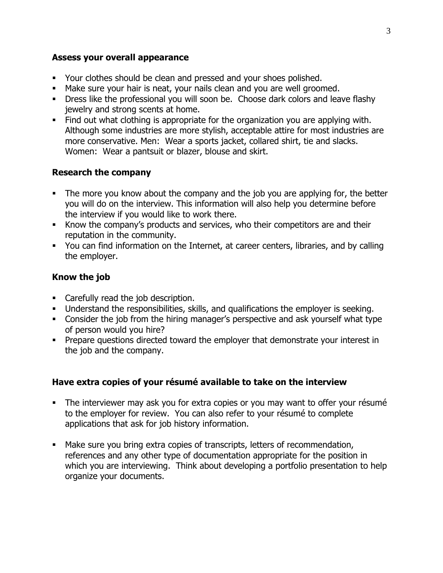#### **Assess your overall appearance**

- Your clothes should be clean and pressed and your shoes polished.
- Make sure your hair is neat, your nails clean and you are well groomed.
- **Dress like the professional you will soon be. Choose dark colors and leave flashy** jewelry and strong scents at home.
- Find out what clothing is appropriate for the organization you are applying with. Although some industries are more stylish, acceptable attire for most industries are more conservative. Men: Wear a sports jacket, collared shirt, tie and slacks. Women: Wear a pantsuit or blazer, blouse and skirt.

# **Research the company**

- The more you know about the company and the job you are applying for, the better you will do on the interview. This information will also help you determine before the interview if you would like to work there.
- Know the company's products and services, who their competitors are and their reputation in the community.
- You can find information on the Internet, at career centers, libraries, and by calling the employer.

# **Know the job**

- Carefully read the job description.
- Understand the responsibilities, skills, and qualifications the employer is seeking.
- Consider the job from the hiring manager's perspective and ask yourself what type of person would you hire?
- Prepare questions directed toward the employer that demonstrate your interest in the job and the company.

# **Have extra copies of your résumé available to take on the interview**

- The interviewer may ask you for extra copies or you may want to offer your résumé to the employer for review. You can also refer to your résumé to complete applications that ask for job history information.
- Make sure you bring extra copies of transcripts, letters of recommendation, references and any other type of documentation appropriate for the position in which you are interviewing. Think about developing a portfolio presentation to help organize your documents.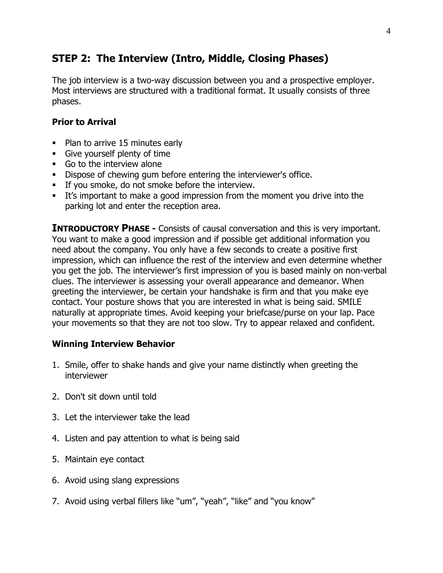# **STEP 2: The Interview (Intro, Middle, Closing Phases)**

The job interview is a two-way discussion between you and a prospective employer. Most interviews are structured with a traditional format. It usually consists of three phases.

# **Prior to Arrival**

- Plan to arrive 15 minutes early
- Give yourself plenty of time
- Go to the interview alone
- Dispose of chewing gum before entering the interviewer's office.
- If you smoke, do not smoke before the interview.
- It's important to make a good impression from the moment you drive into the parking lot and enter the reception area.

**INTRODUCTORY PHASE -** Consists of causal conversation and this is very important. You want to make a good impression and if possible get additional information you need about the company. You only have a few seconds to create a positive first impression, which can influence the rest of the interview and even determine whether you get the job. The interviewer's first impression of you is based mainly on non-verbal clues. The interviewer is assessing your overall appearance and demeanor. When greeting the interviewer, be certain your handshake is firm and that you make eye contact. Your posture shows that you are interested in what is being said. SMILE naturally at appropriate times. Avoid keeping your briefcase/purse on your lap. Pace your movements so that they are not too slow. Try to appear relaxed and confident.

# **Winning Interview Behavior**

- 1. Smile, offer to shake hands and give your name distinctly when greeting the interviewer
- 2. Don't sit down until told
- 3. Let the interviewer take the lead
- 4. Listen and pay attention to what is being said
- 5. Maintain eye contact
- 6. Avoid using slang expressions
- 7. Avoid using verbal fillers like "um", "yeah", "like" and "you know"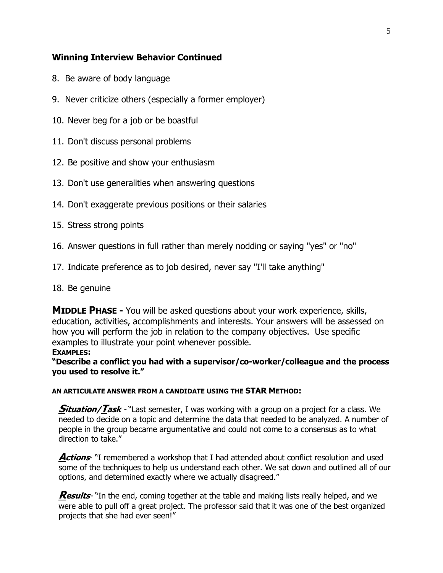## **Winning Interview Behavior Continued**

- 8. Be aware of body language
- 9. Never criticize others (especially a former employer)
- 10. Never beg for a job or be boastful
- 11. Don't discuss personal problems
- 12. Be positive and show your enthusiasm
- 13. Don't use generalities when answering questions
- 14. Don't exaggerate previous positions or their salaries
- 15. Stress strong points
- 16. Answer questions in full rather than merely nodding or saying "yes" or "no"
- 17. Indicate preference as to job desired, never say "I'll take anything"
- 18. Be genuine

**MIDDLE PHASE -** You will be asked questions about your work experience, skills, education, activities, accomplishments and interests. Your answers will be assessed on how you will perform the job in relation to the company objectives. Use specific examples to illustrate your point whenever possible.

#### **EXAMPLES:**

**"Describe a conflict you had with a supervisor/co-worker/colleague and the process you used to resolve it."**

#### **AN ARTICULATE ANSWER FROM A CANDIDATE USING THE STAR METHOD:**

**Situation/Task** - "Last semester, I was working with a group on a project for a class. We needed to decide on a topic and determine the data that needed to be analyzed. A number of people in the group became argumentative and could not come to a consensus as to what direction to take."

**Actions** "I remembered a workshop that I had attended about conflict resolution and used some of the techniques to help us understand each other. We sat down and outlined all of our options, and determined exactly where we actually disagreed."

**Results**- "In the end, coming together at the table and making lists really helped, and we were able to pull off a great project. The professor said that it was one of the best organized projects that she had ever seen!"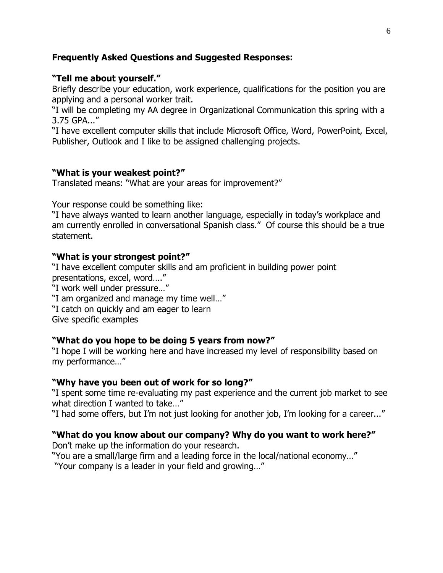### **Frequently Asked Questions and Suggested Responses:**

#### **"Tell me about yourself."**

Briefly describe your education, work experience, qualifications for the position you are applying and a personal worker trait.

"I will be completing my AA degree in Organizational Communication this spring with a 3.75 GPA..."

"I have excellent computer skills that include Microsoft Office, Word, PowerPoint, Excel, Publisher, Outlook and I like to be assigned challenging projects.

#### **"What is your weakest point?"**

Translated means: "What are your areas for improvement?"

Your response could be something like:

"I have always wanted to learn another language, especially in today's workplace and am currently enrolled in conversational Spanish class." Of course this should be a true statement.

#### **"What is your strongest point?"**

"I have excellent computer skills and am proficient in building power point presentations, excel, word…."

"I work well under pressure…"

"I am organized and manage my time well…"

"I catch on quickly and am eager to learn

Give specific examples

#### **"What do you hope to be doing 5 years from now?"**

"I hope I will be working here and have increased my level of responsibility based on my performance…"

#### **"Why have you been out of work for so long?"**

"I spent some time re-evaluating my past experience and the current job market to see what direction I wanted to take…"

"I had some offers, but I'm not just looking for another job, I'm looking for a career..."

#### **"What do you know about our company? Why do you want to work here?"**

Don't make up the information do your research.

"You are a small/large firm and a leading force in the local/national economy…"

"Your company is a leader in your field and growing…"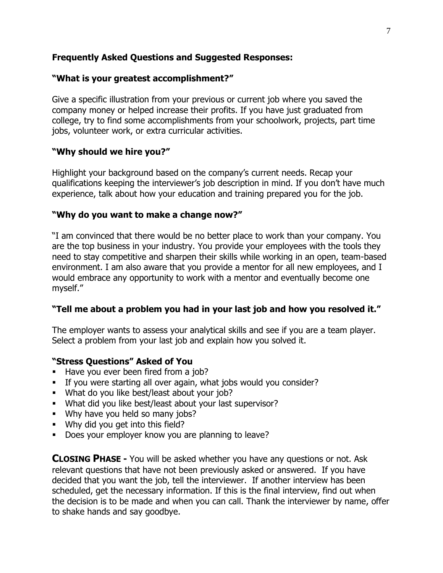# **Frequently Asked Questions and Suggested Responses:**

#### **"What is your greatest accomplishment?"**

Give a specific illustration from your previous or current job where you saved the company money or helped increase their profits. If you have just graduated from college, try to find some accomplishments from your schoolwork, projects, part time jobs, volunteer work, or extra curricular activities.

# **"Why should we hire you?"**

Highlight your background based on the company's current needs. Recap your qualifications keeping the interviewer's job description in mind. If you don't have much experience, talk about how your education and training prepared you for the job.

#### **"Why do you want to make a change now?"**

"I am convinced that there would be no better place to work than your company. You are the top business in your industry. You provide your [employees](http://www.quintcareers.com/interview_question_database/interview_questions_6.html) with the tools they need to stay competitive and sharpen their skills while working in an open, team-based environment. I am also aware that you provide a mentor for all new employees, and I would embrace any opportunity to work with a mentor and eventually become one myself."

# **"Tell me about a problem you had in your last job and how you resolved it."**

The employer wants to assess your analytical skills and see if you are a team player. Select a problem from your last job and explain how you solved it.

# **"Stress Questions" Asked of You**

- Have you ever been fired from a job?
- If you were starting all over again, what jobs would you consider?
- **What do you like best/least about your job?**
- What did you like best/least about your last supervisor?
- **Why have you held so many jobs?**
- **Why did you get into this field?**
- Does your employer know you are planning to leave?

**CLOSING PHASE -** You will be asked whether you have any questions or not. Ask relevant questions that have not been previously asked or answered. If you have decided that you want the job, tell the interviewer. If another interview has been scheduled, get the necessary information. If this is the final interview, find out when the decision is to be made and when you can call. Thank the interviewer by name, offer to shake hands and say goodbye.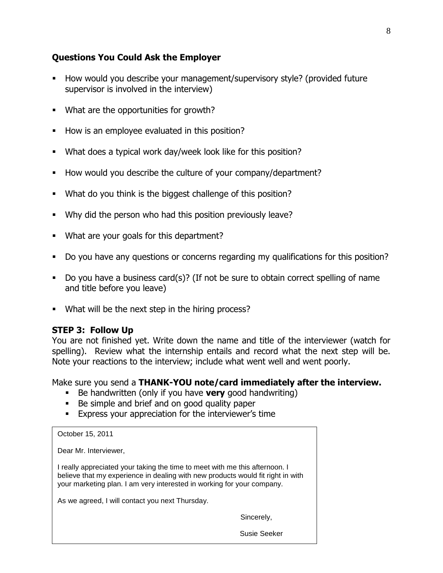# **Questions You Could Ask the Employer**

- How would you describe your management/supervisory style? (provided future supervisor is involved in the interview)
- What are the opportunities for growth?
- How is an employee evaluated in this position?
- What does a typical work day/week look like for this position?
- How would you describe the culture of your company/department?
- What do you think is the biggest challenge of this position?
- Why did the person who had this position previously leave?
- What are your goals for this department?
- Do you have any questions or concerns regarding my qualifications for this position?
- Do you have a business card(s)? (If not be sure to obtain correct spelling of name and title before you leave)
- What will be the next step in the hiring process?

# **STEP 3: Follow Up**

You are not finished yet. Write down the name and title of the interviewer (watch for spelling). Review what the internship entails and record what the next step will be. Note your reactions to the interview; include what went well and went poorly.

Make sure you send a **THANK-YOU note/card immediately after the interview.**

- Be handwritten (only if you have **very** good handwriting)
- Be simple and brief and on good quality paper
- **Express your appreciation for the interviewer's time**

| October 15, 2011                                                                                                                                                                                                                         |              |
|------------------------------------------------------------------------------------------------------------------------------------------------------------------------------------------------------------------------------------------|--------------|
| Dear Mr. Interviewer,                                                                                                                                                                                                                    |              |
| I really appreciated your taking the time to meet with me this afternoon. I<br>believe that my experience in dealing with new products would fit right in with<br>your marketing plan. I am very interested in working for your company. |              |
| As we agreed, I will contact you next Thursday.                                                                                                                                                                                          |              |
|                                                                                                                                                                                                                                          | Sincerely,   |
|                                                                                                                                                                                                                                          | Susie Seeker |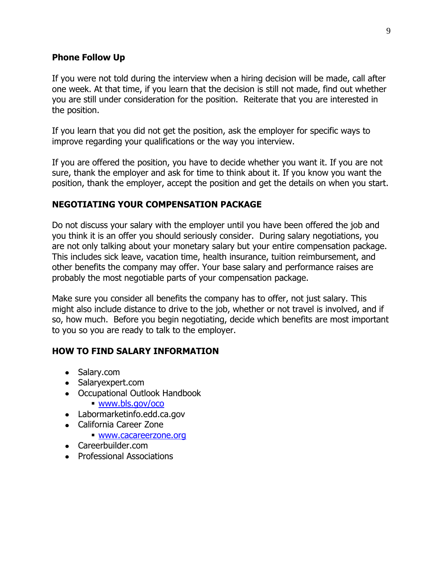#### **Phone Follow Up**

If you were not told during the interview when a hiring decision will be made, call after one week. At that time, if you learn that the decision is still not made, find out whether you are still under consideration for the position. Reiterate that you are interested in the position.

If you learn that you did not get the position, ask the employer for specific ways to improve regarding your qualifications or the way you interview.

If you are offered the position, you have to decide whether you want it. If you are not sure, thank the employer and ask for time to think about it. If you know you want the position, thank the employer, accept the position and get the details on when you start.

#### **NEGOTIATING YOUR COMPENSATION PACKAGE**

Do not discuss your salary with the employer until you have been offered the job and you think it is an offer you should seriously consider. During salary negotiations, you are not only talking about your monetary salary but your entire compensation package. This includes sick leave, vacation time, health insurance, tuition reimbursement, and other benefits the company may offer. Your base salary and performance raises are probably the most negotiable parts of your compensation package.

Make sure you consider all benefits the company has to offer, not just salary. This might also include distance to drive to the job, whether or not travel is involved, and if so, how much. Before you begin negotiating, decide which benefits are most important to you so you are ready to talk to the employer.

#### **HOW TO FIND SALARY INFORMATION**

- Salary.com
- Salarvexpert.com
- Occupational Outlook Handbook
	- [www.bls.gov/oco](http://www.bls.gov/oco)
- Labormarketinfo.edd.ca.gov
- California Career Zone
	- [www.cacareerzone.org](http://www.cacareerzone.org/)
- Careerbuilder.com
- Professional Associations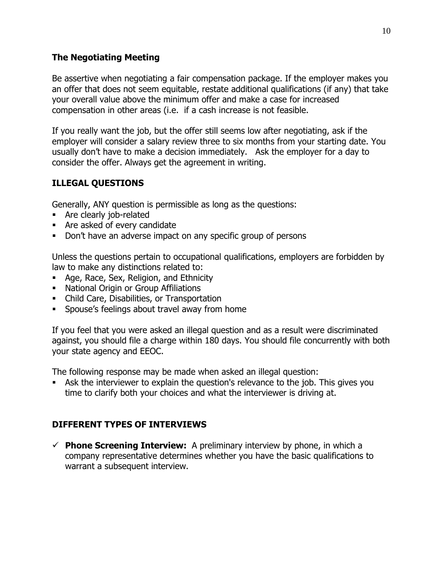# **The Negotiating Meeting**

Be assertive when negotiating a fair compensation package. If the employer makes you an offer that does not seem equitable, restate additional qualifications (if any) that take your overall value above the minimum offer and make a case for increased compensation in other areas (i.e. if a cash increase is not feasible.

If you really want the job, but the offer still seems low after negotiating, ask if the employer will consider a salary review three to six months from your starting date. You usually don't have to make a decision immediately. Ask the employer for a day to consider the offer. Always get the agreement in writing.

# **ILLEGAL QUESTIONS**

Generally, ANY question is permissible as long as the questions:

- **Are clearly job-related**
- Are asked of every candidate
- Don't have an adverse impact on any specific group of persons

Unless the questions pertain to occupational qualifications, employers are forbidden by law to make any distinctions related to:

- **Age, Race, Sex, Religion, and Ethnicity**
- **National Origin or Group Affiliations**
- Child Care, Disabilities, or Transportation
- **Spouse's feelings about travel away from home**

If you feel that you were asked an illegal question and as a result were discriminated against, you should file a charge within 180 days. You should file concurrently with both your state agency and EEOC.

The following response may be made when asked an illegal question:

 Ask the interviewer to explain the question's relevance to the job. This gives you time to clarify both your choices and what the interviewer is driving at.

# **DIFFERENT TYPES OF INTERVIEWS**

 $\checkmark$  **Phone Screening Interview:** A preliminary interview by phone, in which a company representative determines whether you have the basic qualifications to warrant a subsequent interview.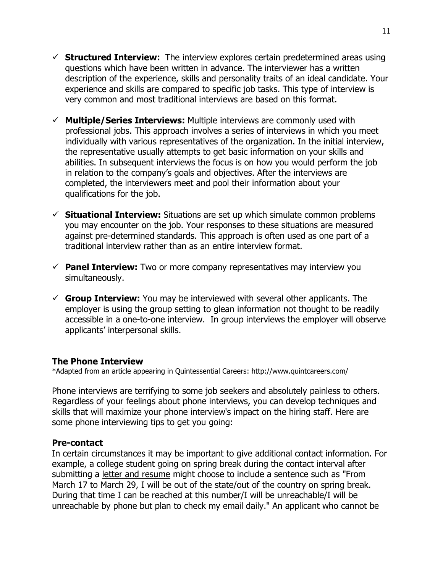- **Structured Interview:** The interview explores certain predetermined areas using questions which have been written in advance. The interviewer has a written description of the experience, skills and personality traits of an ideal candidate. Your experience and skills are compared to specific job tasks. This type of interview is very common and most traditional interviews are based on this format.
- **Multiple/Series Interviews:** Multiple interviews are commonly used with professional jobs. This approach involves a series of interviews in which you meet individually with various representatives of the organization. In the initial interview, the representative usually attempts to get basic information on your skills and abilities. In subsequent interviews the focus is on how you would perform the job in relation to the company's goals and objectives. After the interviews are completed, the interviewers meet and pool their information about your qualifications for the job.
- **Situational Interview:** Situations are set up which simulate common problems you may encounter on the job. Your responses to these situations are measured against pre-determined standards. This approach is often used as one part of a traditional interview rather than as an entire interview format.
- **Panel Interview:** Two or more company representatives may interview you simultaneously.
- **Group Interview:** You may be interviewed with several other applicants. The employer is using the group setting to glean information not thought to be readily accessible in a one-to-one interview. In group interviews the employer will observe applicants' interpersonal skills.

#### **The Phone Interview**

\*Adapted from an article appearing in Quintessential Careers: http://www.quintcareers.com/

Phone interviews are terrifying to some job seekers and absolutely painless to others. Regardless of your feelings about phone interviews, you can develop techniques and skills that will maximize your phone interview's impact on the hiring staff. Here are some phone interviewing tips to get you going:

# **Pre-contact**

In certain circumstances it may be important to give additional contact information. For example, a college student going on spring break during the contact interval after submitting a [letter and resume](http://www.quintcareers.com/phone_interview_etiquette.html) might choose to include a sentence such as "From March 17 to March 29, I will be out of the state/out of the country on spring break. During that time I can be reached at this number/I will be unreachable/I will be unreachable by phone but plan to check my email daily." An applicant who cannot be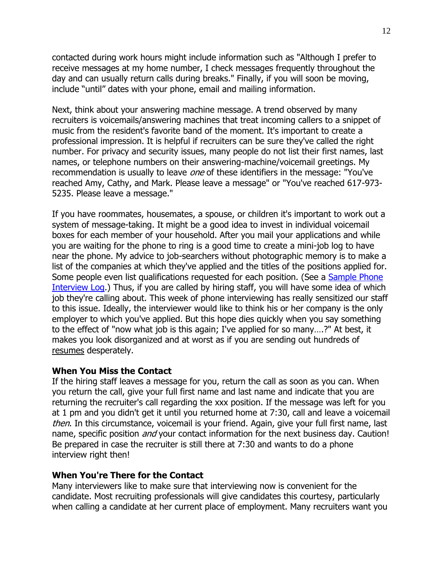contacted during work hours might include information such as "Although I prefer to receive messages at my home number, I check messages frequently throughout the day and can usually return calls during breaks." Finally, if you will soon be moving, include "until" dates with your phone, email and mailing information.

Next, think about your answering machine message. A trend observed by many recruiters is voicemails/answering machines that treat incoming callers to a snippet of music from the resident's favorite band of the moment. It's important to create a professional impression. It is helpful if recruiters can be sure they've called the right number. For privacy and security issues, many people do not list their first names, last names, or telephone numbers on their answering-machine/voicemail greetings. My recommendation is usually to leave *one* of these identifiers in the message: "You've reached Amy, Cathy, and Mark. Please leave a message" or "You've reached 617-973- 5235. Please leave a message."

If you have roommates, housemates, a spouse, or children it's important to work out a system of message-taking. It might be a good idea to invest in individual voicemail boxes for each member of your household. After you mail your applications and while you are waiting for the phone to ring is a good time to create a mini-job log to have near the phone. My advice to job-searchers without photographic memory is to make a list of the companies at which they've applied and the titles of the positions applied for. Some people even list qualifications requested for each position. (See a [Sample Phone](http://www.quintcareers.com/phone_interview_log.html)  [Interview Log.](http://www.quintcareers.com/phone_interview_log.html)) Thus, if you are called by hiring staff, you will have some idea of which job they're calling about. This week of phone interviewing has really sensitized our staff to this issue. Ideally, the interviewer would like to think his or her company is the only employer to which you've applied. But this hope dies quickly when you say something to the effect of "now what job is this again; I've applied for so many….?" At best, it makes you look disorganized and at worst as if you are sending out hundreds of [resumes](http://www.quintcareers.com/phone_interview_etiquette.html) desperately.

#### **When You Miss the Contact**

If the hiring staff leaves a message for you, return the call as soon as you can. When you return the call, give your full first name and last name and indicate that you are returning the recruiter's call regarding the xxx position. If the message was left for you at 1 pm and you didn't get it until you returned home at 7:30, call and leave a voicemail then. In this circumstance, voicemail is your friend. Again, give your full first name, last name, specific position *and* your contact information for the next business day. Caution! Be prepared in case the recruiter is still there at 7:30 and wants to do a phone interview right then!

#### **When You're There for the Contact**

Many interviewers like to make sure that interviewing now is convenient for the candidate. Most recruiting professionals will give candidates this courtesy, particularly when calling a candidate at her current place of employment. Many recruiters want you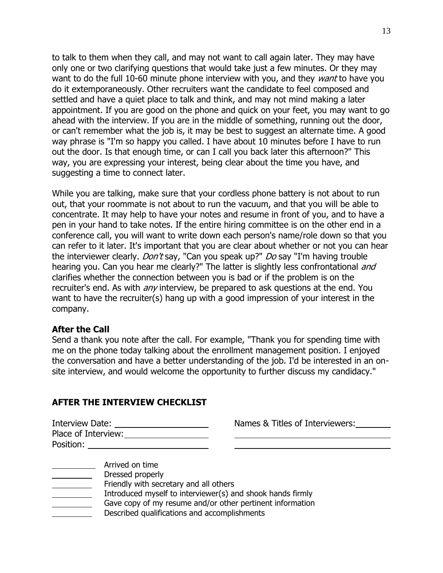to talk to them when they call, and may not want to call again later. They may have only one or two clarifying questions that would take just a few minutes. Or they may want to do the full 10-60 minute phone interview with you, and they want to have you do it extemporaneously. Other recruiters want the candidate to feel composed and settled and have a quiet place to talk and think, and may not mind making a later appointment. If you are good on the phone and quick on your feet, you may want to go ahead with the interview. If you are in the middle of something, running out the door, or can't remember what the job is, it may be best to suggest an alternate time. A good way phrase is "I'm so happy you called. I have about 10 minutes before I have to run out the door. Is that enough time, or can I call you back later this afternoon?" This way, you are expressing your interest, being clear about the time you have, and suggesting a time to connect later.

While you are talking, make sure that your cordless phone battery is not about to run out, that your roommate is not about to run the vacuum, and that you will be able to concentrate. It may help to have your notes and resume in front of you, and to have a pen in your hand to take notes. If the entire hiring committee is on the other end in a conference call, you will want to write down each person's name/role down so that you can refer to it later. It's important that you are clear about whether or not you can hear the interviewer clearly. *Don't* say, "Can you speak up?" *Do* say "I'm having trouble hearing you. Can you hear me clearly?" The latter is slightly less confrontational and clarifies whether the connection between you is bad or if the problem is on the recruiter's end. As with *any* interview, be prepared to ask questions at the end. You want to have the recruiter(s) hang up with a good impression of your interest in the company.

#### **After the Call**

Send a thank you note after the call. For example, "Thank you for spending time with me on the phone today talking about the enrollment [management position.](http://www.quintcareers.com/phone_interview_etiquette.html) I enjoyed the conversation and have a better understanding of the job. I'd be interested in an onsite interview, and would welcome the opportunity to further discuss my candidacy."

#### **AFTER THE INTERVIEW CHECKLIST**

| Interview Date:     |  |
|---------------------|--|
| Place of Interview: |  |
| Position:           |  |

Names & Titles of Interviewers:

Arrived on time

- Dressed properly
- Friendly with secretary and all others
- Introduced myself to interviewer(s) and shook hands firmly
- Gave copy of my resume and/or other pertinent information
- Described qualifications and accomplishments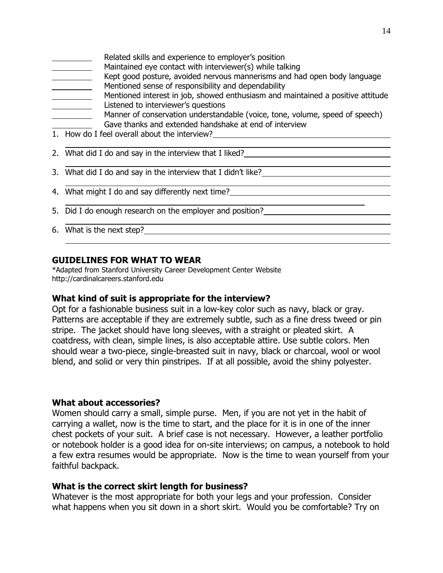- Related skills and experience to employer's position
- Maintained eye contact with interviewer(s) while talking
- Kept good posture, avoided nervous mannerisms and had open body language Mentioned sense of responsibility and dependability
- 
- Mentioned interest in job, showed enthusiasm and maintained a positive attitude Listened to interviewer's questions
- 
- Manner of conservation understandable (voice, tone, volume, speed of speech) Gave thanks and extended handshake at end of interview

- 1. How do I feel overall about the interview?
- 2. What did I do and say in the interview that I liked?<br>
<u>Letting</u>
- 3. What did I do and say in the interview that I didn't like?
- 4. What might I do and say differently next time?
- 5. Did I do enough research on the employer and position?
- 6. What is the next step?

# **GUIDELINES FOR WHAT TO WEAR**

\*Adapted from Stanford University Career Development Center Website http://cardinalcareers.stanford.edu

# **What kind of suit is appropriate for the interview?**

Opt for a fashionable business suit in a low-key color such as navy, black or gray. Patterns are acceptable if they are extremely subtle, such as a fine dress tweed or pin stripe. The jacket should have long sleeves, with a straight or pleated skirt. A coatdress, with clean, simple lines, is also acceptable attire. Use subtle colors. Men should wear a two-piece, single-breasted suit in navy, black or charcoal, wool or wool blend, and solid or very thin pinstripes. If at all possible, avoid the shiny polyester.

# **What about accessories?**

Women should carry a small, simple purse. Men, if you are not yet in the habit of carrying a wallet, now is the time to start, and the place for it is in one of the inner chest pockets of your suit. A brief case is not necessary. However, a leather portfolio or notebook holder is a good idea for on-site interviews; on campus, a notebook to hold a few extra resumes would be appropriate. Now is the time to wean yourself from your faithful backpack.

# **What is the correct skirt length for business?**

Whatever is the most appropriate for both your legs and your profession. Consider what happens when you sit down in a short skirt. Would you be comfortable? Try on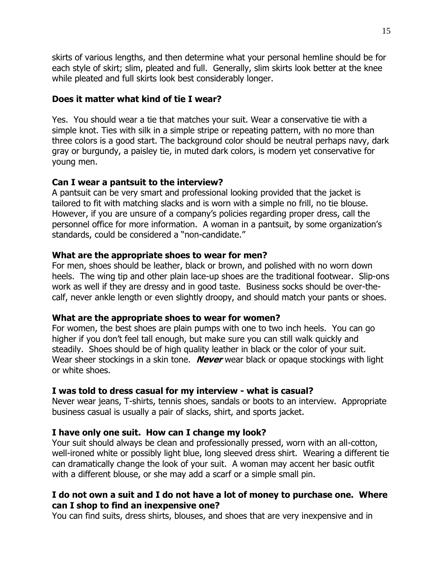skirts of various lengths, and then determine what your personal hemline should be for each style of skirt; slim, pleated and full. Generally, slim skirts look better at the knee while pleated and full skirts look best considerably longer.

#### **Does it matter what kind of tie I wear?**

Yes. You should wear a tie that matches your suit. Wear a conservative tie with a simple knot. Ties with silk in a simple stripe or repeating pattern, with no more than three colors is a good start. The background color should be neutral perhaps navy, dark gray or burgundy, a paisley tie, in muted dark colors, is modern yet conservative for young men.

#### **Can I wear a pantsuit to the interview?**

A pantsuit can be very smart and professional looking provided that the jacket is tailored to fit with matching slacks and is worn with a simple no frill, no tie blouse. However, if you are unsure of a company's policies regarding proper dress, call the personnel office for more information. A woman in a pantsuit, by some organization's standards, could be considered a "non-candidate."

#### **What are the appropriate shoes to wear for men?**

For men, shoes should be leather, black or brown, and polished with no worn down heels. The wing tip and other plain lace-up shoes are the traditional footwear. Slip-ons work as well if they are dressy and in good taste. Business socks should be over-thecalf, never ankle length or even slightly droopy, and should match your pants or shoes.

# **What are the appropriate shoes to wear for women?**

For women, the best shoes are plain pumps with one to two inch heels. You can go higher if you don't feel tall enough, but make sure you can still walk quickly and steadily. Shoes should be of high quality leather in black or the color of your suit. Wear sheer stockings in a skin tone. **Never** wear black or opaque stockings with light or white shoes.

# **I was told to dress casual for my interview - what is casual?**

Never wear jeans, T-shirts, tennis shoes, sandals or boots to an interview. Appropriate business casual is usually a pair of slacks, shirt, and sports jacket.

# **I have only one suit. How can I change my look?**

Your suit should always be clean and professionally pressed, worn with an all-cotton, well-ironed white or possibly light blue, long sleeved dress shirt. Wearing a different tie can dramatically change the look of your suit. A woman may accent her basic outfit with a different blouse, or she may add a scarf or a simple small pin.

# **I do not own a suit and I do not have a lot of money to purchase one. Where can I shop to find an inexpensive one?**

You can find suits, dress shirts, blouses, and shoes that are very inexpensive and in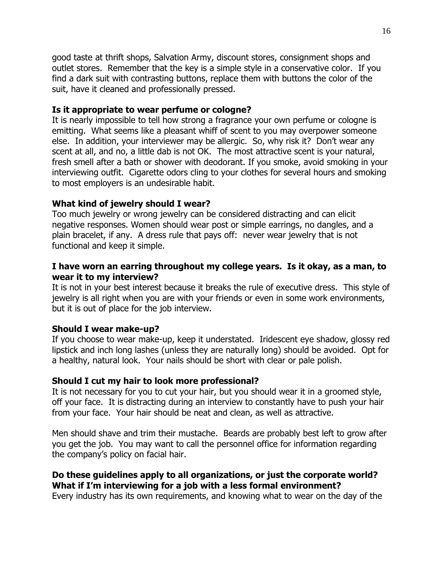good taste at thrift shops, Salvation Army, discount stores, consignment shops and outlet stores. Remember that the key is a simple style in a conservative color. If you find a dark suit with contrasting buttons, replace them with buttons the color of the suit, have it cleaned and professionally pressed.

#### **Is it appropriate to wear perfume or cologne?**

It is nearly impossible to tell how strong a fragrance your own perfume or cologne is emitting. What seems like a pleasant whiff of scent to you may overpower someone else. In addition, your interviewer may be allergic. So, why risk it? Don't wear any scent at all, and no, a little dab is not OK. The most attractive scent is your natural, fresh smell after a bath or shower with deodorant. If you smoke, avoid smoking in your interviewing outfit. Cigarette odors cling to your clothes for several hours and smoking to most employers is an undesirable habit.

#### **What kind of jewelry should I wear?**

Too much jewelry or wrong jewelry can be considered distracting and can elicit negative responses. Women should wear post or simple earrings, no dangles, and a plain bracelet, if any. A dress rule that pays off: never wear jewelry that is not functional and keep it simple.

#### **I have worn an earring throughout my college years. Is it okay, as a man, to wear it to my interview?**

It is not in your best interest because it breaks the rule of executive dress. This style of jewelry is all right when you are with your friends or even in some work environments, but it is out of place for the job interview.

#### **Should I wear make-up?**

If you choose to wear make-up, keep it understated. Iridescent eye shadow, glossy red lipstick and inch long lashes (unless they are naturally long) should be avoided. Opt for a healthy, natural look. Your nails should be short with clear or pale polish.

#### **Should I cut my hair to look more professional?**

It is not necessary for you to cut your hair, but you should wear it in a groomed style, off your face. It is distracting during an interview to constantly have to push your hair from your face. Your hair should be neat and clean, as well as attractive.

Men should shave and trim their mustache. Beards are probably best left to grow after you get the job. You may want to call the personnel office for information regarding the company's policy on facial hair.

#### **Do these guidelines apply to all organizations, or just the corporate world? What if I'm interviewing for a job with a less formal environment?**

Every industry has its own requirements, and knowing what to wear on the day of the